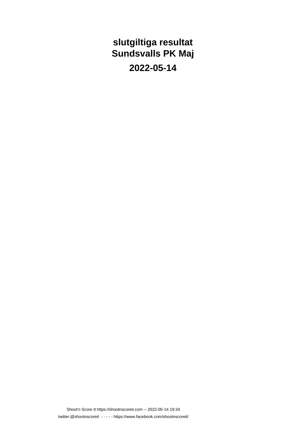### **slutgiltiga resultat Sundsvalls PK Maj**

**2022-05-14**

Shoot'n Score It https://shootnscoreit.com -- 2022-05-14 19:34 twitter:@shootnscoreit - - - - - https://www.facebook.com/shootnscoreit/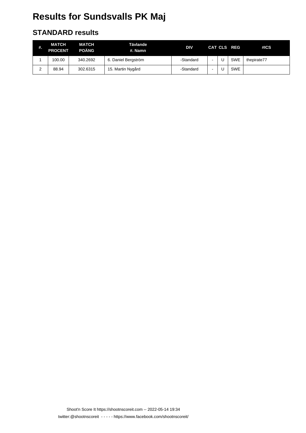# **Results for Sundsvalls PK Maj**

#### **STANDARD results**

| #.     | MATCH<br><b>PROCENT</b> | <b>MATCH</b><br><b>POÄNG</b> | Tävlande<br>#. Namn | DIV       |  | CAT CLS REG | #ICS        |
|--------|-------------------------|------------------------------|---------------------|-----------|--|-------------|-------------|
|        | 100.00                  | 340.2692                     | 6. Daniel Bergström | -Standard |  | <b>SWE</b>  | thepirate77 |
| ົ<br>∠ | 88.94                   | 302.6315                     | 15. Martin Nygård   | -Standard |  | <b>SWE</b>  |             |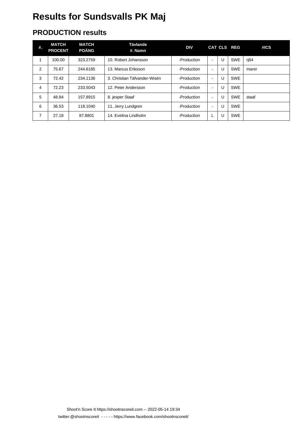# **Results for Sundsvalls PK Maj**

### **PRODUCTION results**

| #. | <b>MATCH</b><br><b>PROCENT</b> | <b>MATCH</b><br><b>POÄNG</b> | Tävlande<br>#. Namn          | <b>DIV</b>  |                          |   | CAT CLS REG | #ICS  |
|----|--------------------------------|------------------------------|------------------------------|-------------|--------------------------|---|-------------|-------|
|    | 100.00                         | 323.2759                     | 10. Robert Johansson         | -Production | $\blacksquare$           | U | <b>SWE</b>  | rj84  |
| 2  | 75.67                          | 244.6185                     | 13. Marcus Eriksson          | -Production | $\blacksquare$           | U | <b>SWE</b>  | marer |
| 3  | 72.42                          | 234.1136                     | 3. Christian Täfvander-Wisén | -Production | $\sim$                   | U | <b>SWE</b>  |       |
| 4  | 72.23                          | 233.5043                     | 12. Peter Andersson          | -Production | $\blacksquare$           | U | <b>SWE</b>  |       |
| 5  | 48.84                          | 157.8915                     | 8. jesper Staaf              | -Production | $\overline{\phantom{a}}$ | U | <b>SWE</b>  | staaf |
| 6  | 36.53                          | 118.1040                     | 11. Jerry Lundgren           | -Production | $\blacksquare$           | U | <b>SWE</b>  |       |
| 7  | 27.18                          | 87.8801                      | 14. Evelina Lindholm         | -Production | L                        | U | <b>SWE</b>  |       |